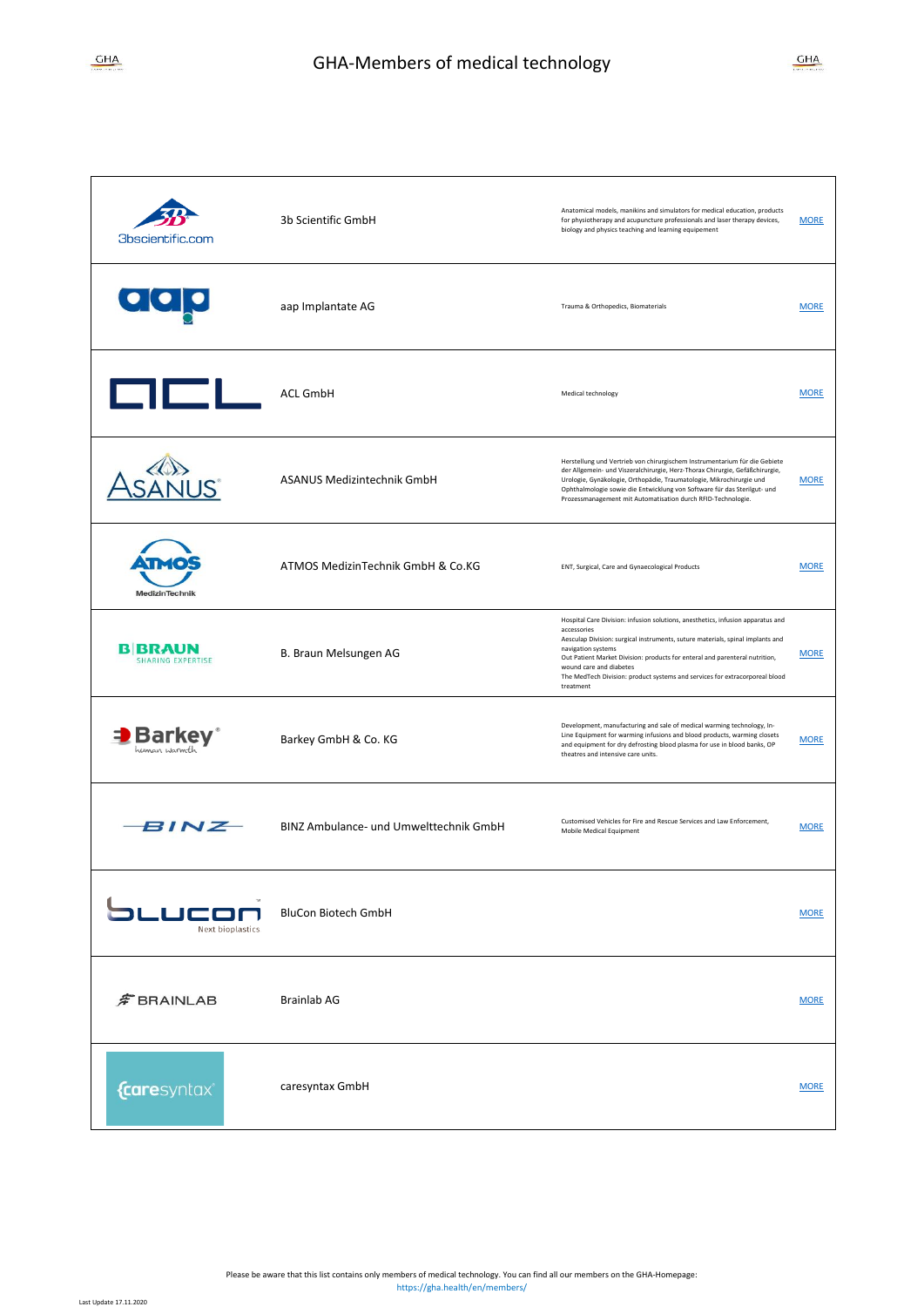| 3bscientific.com                                       | 3b Scientific GmbH                     | Anatomical models, manikins and simulators for medical education, products<br>for physiotherapy and acupuncture professionals and laser therapy devices,<br>biology and physics teaching and learning equipement                                                                                                                                                                                             | <b>MORE</b> |
|--------------------------------------------------------|----------------------------------------|--------------------------------------------------------------------------------------------------------------------------------------------------------------------------------------------------------------------------------------------------------------------------------------------------------------------------------------------------------------------------------------------------------------|-------------|
| <u>aaja</u>                                            | aap Implantate AG                      | Trauma & Orthopedics, Biomaterials                                                                                                                                                                                                                                                                                                                                                                           | <b>MORE</b> |
| <b>GICL</b>                                            | <b>ACL GmbH</b>                        | Medical technology                                                                                                                                                                                                                                                                                                                                                                                           | <b>MORE</b> |
|                                                        | ASANUS Medizintechnik GmbH             | Herstellung und Vertrieb von chirurgischem Instrumentarium für die Gebiete<br>der Allgemein- und Viszeralchirurgie, Herz-Thorax Chirurgie, Gefäßchirurgie,<br>Urologie, Gynäkologie, Orthopädie, Traumatologie, Mikrochirurgie und<br>Ophthalmologie sowie die Entwicklung von Software für das Sterilgut- und<br>Prozessmanagement mit Automatisation durch RFID-Technologie.                               | <b>MORE</b> |
| MedizinTechnik                                         | ATMOS MedizinTechnik GmbH & Co.KG      | ENT, Surgical, Care and Gynaecological Products                                                                                                                                                                                                                                                                                                                                                              | <b>MORE</b> |
| B BRAUN<br><b>SHARING EXPERTISE</b>                    | B. Braun Melsungen AG                  | Hospital Care Division: infusion solutions, anesthetics, infusion apparatus and<br>accessories<br>Aesculap Division: surgical instruments, suture materials, spinal implants and<br>navigation systems<br>Out Patient Market Division: products for enteral and parenteral nutrition,<br>wound care and diabetes<br>The MedTech Division: product systems and services for extracorporeal blood<br>treatment | <b>MORE</b> |
| <b>Barkey</b> <sup>®</sup><br>human <sub>Warmt</sub> h | Barkey GmbH & Co. KG                   | Development, manufacturing and sale of medical warming technology, In-<br>Line Equipment for warming infusions and blood products, warming closets<br>and equipment for dry defrosting blood plasma for use in blood banks, OP<br>theatres and intensive care units.                                                                                                                                         | <b>MORE</b> |
| <b>BINZ</b>                                            | BINZ Ambulance- und Umwelttechnik GmbH | Customised Vehicles for Fire and Rescue Services and Law Enforcement,<br>Mobile Medical Equipment                                                                                                                                                                                                                                                                                                            | <b>MORE</b> |
| <b>JC1</b><br>Next bioplastics.                        | <b>BluCon Biotech GmbH</b>             |                                                                                                                                                                                                                                                                                                                                                                                                              | <b>MORE</b> |
| $\hat{F}$ BRAINLAB                                     | <b>Brainlab AG</b>                     |                                                                                                                                                                                                                                                                                                                                                                                                              | <b>MORE</b> |
| <i>{caresyntax®</i>                                    | caresyntax GmbH                        |                                                                                                                                                                                                                                                                                                                                                                                                              | <b>MORE</b> |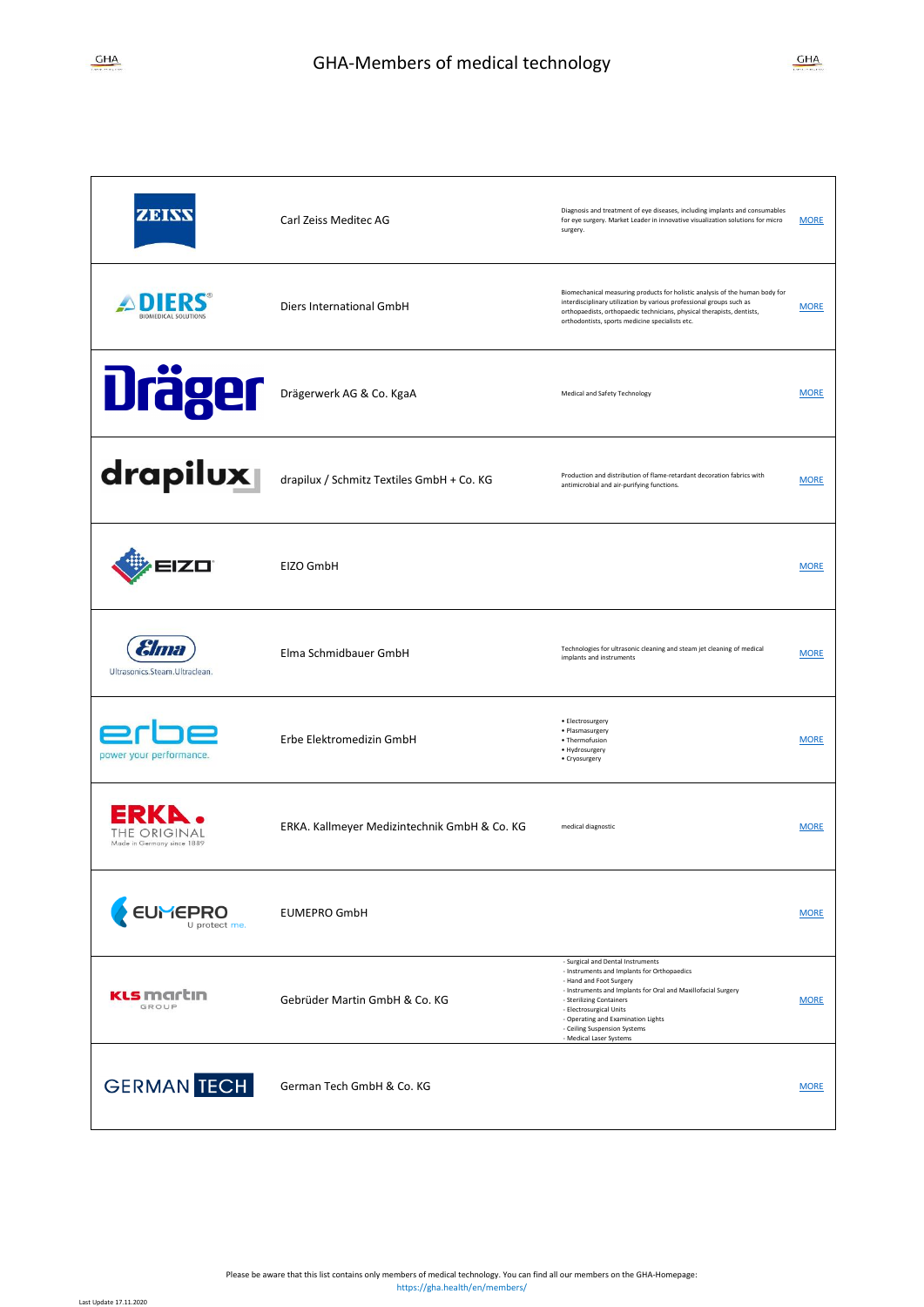| <b>ZIDIAN</b>                              | Carl Zeiss Meditec AG                        | Diagnosis and treatment of eye diseases, including implants and consumables<br>for eye surgery. Market Leader in innovative visualization solutions for micro<br>surgery.                                                                                                                                                            | <b>MORE</b> |
|--------------------------------------------|----------------------------------------------|--------------------------------------------------------------------------------------------------------------------------------------------------------------------------------------------------------------------------------------------------------------------------------------------------------------------------------------|-------------|
| <b>BIOMEDICAL SOLUTIONS</b>                | Diers International GmbH                     | Biomechanical measuring products for holistic analysis of the human body for<br>interdisciplinary utilization by various professional groups such as<br>orthopaedists, orthopaedic technicians, physical therapists, dentists,<br>orthodontists, sports medicine specialists etc.                                                    | <b>MORE</b> |
| <b>Dräger</b>                              | Drägerwerk AG & Co. KgaA                     | Medical and Safety Technology                                                                                                                                                                                                                                                                                                        | <b>MORE</b> |
| drapilux                                   | drapilux / Schmitz Textiles GmbH + Co. KG    | Production and distribution of flame-retardant decoration fabrics with<br>antimicrobial and air-purifying functions.                                                                                                                                                                                                                 | <b>MORE</b> |
| <b>ZO</b>                                  | EIZO GmbH                                    |                                                                                                                                                                                                                                                                                                                                      | <b>MORE</b> |
| ama<br>Ultrasonics.Steam.Ultraclean.       | Elma Schmidbauer GmbH                        | Technologies for ultrasonic cleaning and steam jet cleaning of medical<br>implants and instruments                                                                                                                                                                                                                                   | <b>MORE</b> |
| power your performance.                    | Erbe Elektromedizin GmbH                     | • Electrosurgery<br>· Plasmasurgery<br>• Thermofusion<br>• Hydrosurgery<br>• Cryosurgery                                                                                                                                                                                                                                             | <b>MORE</b> |
| THE ORIGINAL<br>Made in Germany since 1889 | ERKA. Kallmeyer Medizintechnik GmbH & Co. KG | medical diagnostic                                                                                                                                                                                                                                                                                                                   | <b>MORE</b> |
| <b>EUMEPRO</b><br>U protect me.            | <b>EUMEPRO GmbH</b>                          |                                                                                                                                                                                                                                                                                                                                      | <b>MORE</b> |
| <b>KLS</b> martın<br>GROUP                 | Gebrüder Martin GmbH & Co. KG                | - Surgical and Dental Instruments<br>- Instruments and Implants for Orthopaedics<br>- Hand and Foot Surgery<br>- Instruments and Implants for Oral and Maxillofacial Surgery<br>- Sterilizing Containers<br>- Electrosurgical Units<br>- Operating and Examination Lights<br>- Ceiling Suspension Systems<br>- Medical Laser Systems | <b>MORE</b> |
| <b>GERMAN TECH</b>                         | German Tech GmbH & Co. KG                    |                                                                                                                                                                                                                                                                                                                                      | <b>MORE</b> |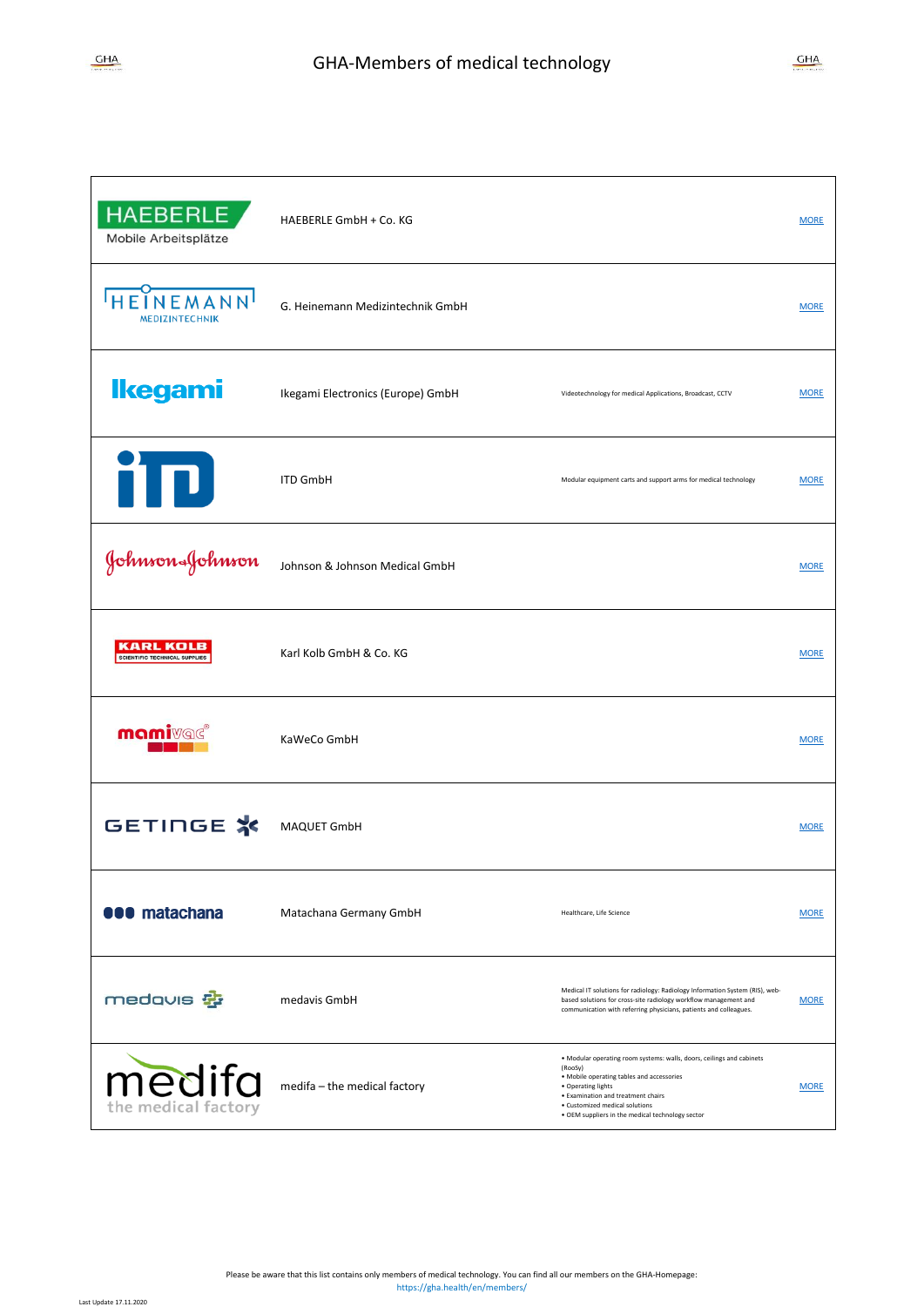| <b>HAEBERLE</b><br>Mobile Arbeitsplätze                  | HAEBERLE GmbH + Co. KG            |                                                                                                                                                                                                                                                                                 | <b>MORE</b> |
|----------------------------------------------------------|-----------------------------------|---------------------------------------------------------------------------------------------------------------------------------------------------------------------------------------------------------------------------------------------------------------------------------|-------------|
| NEMANN<br><b>MEDIZINTECHNIK</b>                          | G. Heinemann Medizintechnik GmbH  |                                                                                                                                                                                                                                                                                 | <b>MORE</b> |
| <b>Ikegami</b>                                           | Ikegami Electronics (Europe) GmbH | Videotechnology for medical Applications, Broadcast, CCTV                                                                                                                                                                                                                       | <b>MORE</b> |
| ňП                                                       | <b>ITD GmbH</b>                   | Modular equipment carts and support arms for medical technology                                                                                                                                                                                                                 | <b>MORE</b> |
| Johnson&Johnson                                          | Johnson & Johnson Medical GmbH    |                                                                                                                                                                                                                                                                                 | <b>MORE</b> |
| <b>KARL KOLB</b><br><b>SCIENTIFIC TECHNICAL SUPPLIES</b> | Karl Kolb GmbH & Co. KG           |                                                                                                                                                                                                                                                                                 | <b>MORE</b> |
| <b>mami</b> vac®                                         | KaWeCo GmbH                       |                                                                                                                                                                                                                                                                                 | <b>MORE</b> |
| GETINGE *                                                | MAQUET GmbH                       |                                                                                                                                                                                                                                                                                 | <b>MORE</b> |
| <b>000 matachana</b>                                     | Matachana Germany GmbH            | Healthcare, Life Science                                                                                                                                                                                                                                                        | <b>MORE</b> |
| medavis #                                                | medavis GmbH                      | Medical IT solutions for radiology: Radiology Information System (RIS), web-<br>based solutions for cross-site radiology workflow management and<br>communication with referring physicians, patients and colleagues.                                                           | <b>MORE</b> |
| medifa                                                   | medifa - the medical factory      | . Modular operating room systems: walls, doors, ceilings and cabinets<br>(RooSy)<br>. Mobile operating tables and accessories<br>• Operating lights<br>· Examination and treatment chairs<br>· Customized medical solutions<br>. OEM suppliers in the medical technology sector | <b>MORE</b> |

ł.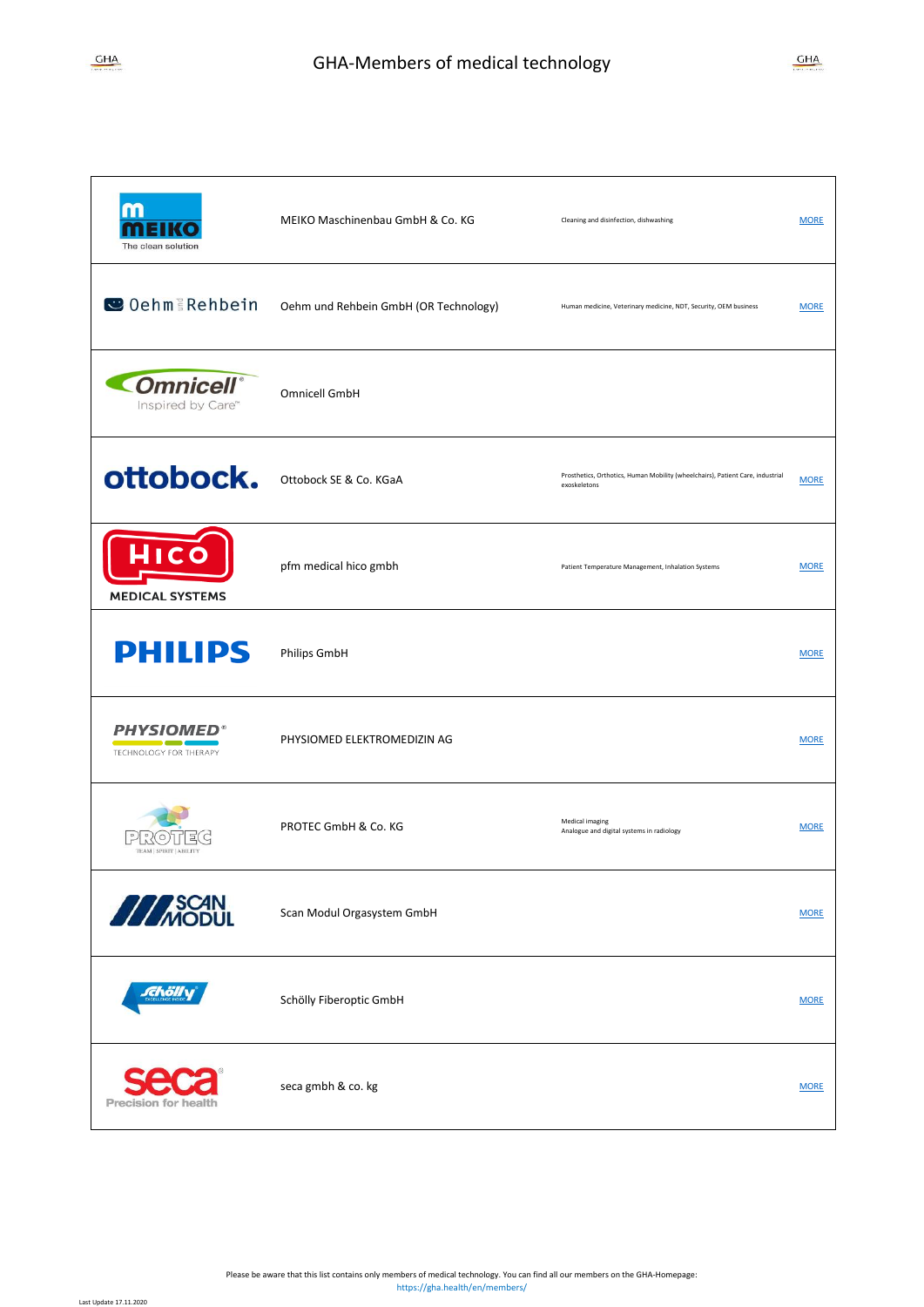Last Update 17.11.2020

| m<br>The clean solution                           | MEIKO Maschinenbau GmbH & Co. KG      | Cleaning and disinfection, dishwashing                                                         | <b>MORE</b> |
|---------------------------------------------------|---------------------------------------|------------------------------------------------------------------------------------------------|-------------|
| C Oehm Rehbein                                    | Oehm und Rehbein GmbH (OR Technology) | Human medicine, Veterinary medicine, NDT, Security, OEM business                               | <b>MORE</b> |
| <b>Omnicell</b> <sup>®</sup><br>Inspired by Care" | Omnicell GmbH                         |                                                                                                |             |
| ottobock.                                         | Ottobock SE & Co. KGaA                | Prosthetics, Orthotics, Human Mobility (wheelchairs), Patient Care, industrial<br>exoskeletons | <b>MORE</b> |
| <b>MEDICAL SYSTEMS</b>                            | pfm medical hico gmbh                 | Patient Temperature Management, Inhalation Systems                                             | <b>MORE</b> |
| <b>PHILIPS</b>                                    | Philips GmbH                          |                                                                                                | <b>MORE</b> |
| <b>PHYSIOMED®</b><br>TECHNOLOGY FOR THERAPY       | PHYSIOMED ELEKTROMEDIZIN AG           |                                                                                                | <b>MORE</b> |
| TEAM   SPIRIT   ABILIT!                           | PROTEC GmbH & Co. KG                  | Medical imaging<br>Analogue and digital systems in radiology                                   | <b>MORE</b> |
| <b>ANSCAN</b>                                     | Scan Modul Orgasystem GmbH            |                                                                                                | <b>MORE</b> |
| rchöll                                            | Schölly Fiberoptic GmbH               |                                                                                                | <b>MORE</b> |
| Precision for healt                               | seca gmbh & co. kg                    |                                                                                                | <b>MORE</b> |